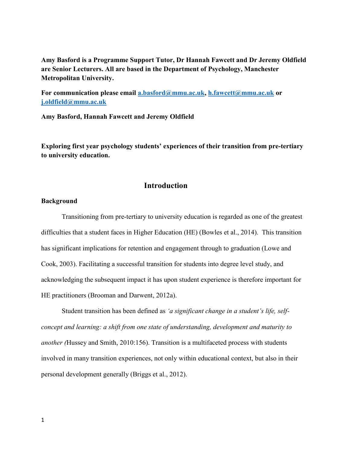**Amy Basford is a Programme Support Tutor, Dr Hannah Fawcett and Dr Jeremy Oldfield are Senior Lecturers. All are based in the Department of Psychology, Manchester Metropolitan University.** 

**For communication please email [a.basford@mmu.ac.uk,](mailto:a.basford@mmu.ac.uk) [h.fawcett@mmu.ac.uk](mailto:h.fawcett@mmu.ac.uk) or [j.oldfield@mmu.ac.uk](mailto:j.oldfield@mmu.ac.uk)**

**Amy Basford, Hannah Fawcett and Jeremy Oldfield** 

**Exploring first year psychology students' experiences of their transition from pre-tertiary to university education.**

## **Introduction**

### **Background**

Transitioning from pre-tertiary to university education is regarded as one of the greatest difficulties that a student faces in Higher Education (HE) (Bowles et al., 2014). This transition has significant implications for retention and engagement through to graduation (Lowe and Cook, 2003). Facilitating a successful transition for students into degree level study, and acknowledging the subsequent impact it has upon student experience is therefore important for HE practitioners (Brooman and Darwent, 2012a).

Student transition has been defined as *'a significant change in a student's life, selfconcept and learning: a shift from one state of understanding, development and maturity to another (*Hussey and Smith, 2010:156). Transition is a multifaceted process with students involved in many transition experiences, not only within educational context, but also in their personal development generally (Briggs et al., 2012).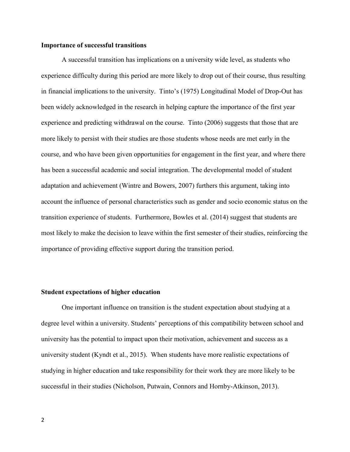#### **Importance of successful transitions**

A successful transition has implications on a university wide level, as students who experience difficulty during this period are more likely to drop out of their course, thus resulting in financial implications to the university. Tinto's (1975) Longitudinal Model of Drop-Out has been widely acknowledged in the research in helping capture the importance of the first year experience and predicting withdrawal on the course. Tinto (2006) suggests that those that are more likely to persist with their studies are those students whose needs are met early in the course, and who have been given opportunities for engagement in the first year, and where there has been a successful academic and social integration. The developmental model of student adaptation and achievement (Wintre and Bowers, 2007) furthers this argument, taking into account the influence of personal characteristics such as gender and socio economic status on the transition experience of students. Furthermore, Bowles et al. (2014) suggest that students are most likely to make the decision to leave within the first semester of their studies, reinforcing the importance of providing effective support during the transition period.

#### **Student expectations of higher education**

One important influence on transition is the student expectation about studying at a degree level within a university. Students' perceptions of this compatibility between school and university has the potential to impact upon their motivation, achievement and success as a university student (Kyndt et al., 2015). When students have more realistic expectations of studying in higher education and take responsibility for their work they are more likely to be successful in their studies (Nicholson, Putwain, Connors and Hornby-Atkinson, 2013).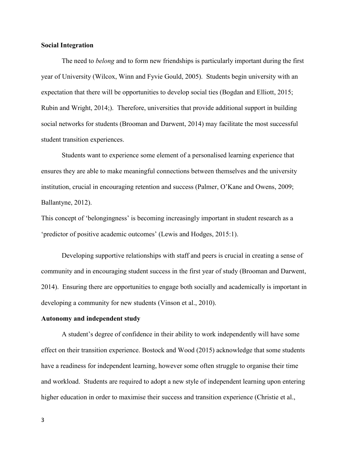#### **Social Integration**

The need to *belong* and to form new friendships is particularly important during the first year of University (Wilcox, Winn and Fyvie Gould, 2005). Students begin university with an expectation that there will be opportunities to develop social ties (Bogdan and Elliott, 2015; Rubin and Wright, 2014;). Therefore, universities that provide additional support in building social networks for students (Brooman and Darwent, 2014) may facilitate the most successful student transition experiences.

Students want to experience some element of a personalised learning experience that ensures they are able to make meaningful connections between themselves and the university institution, crucial in encouraging retention and success (Palmer, O'Kane and Owens, 2009; Ballantyne, 2012).

This concept of 'belongingness' is becoming increasingly important in student research as a 'predictor of positive academic outcomes' (Lewis and Hodges, 2015:1).

Developing supportive relationships with staff and peers is crucial in creating a sense of community and in encouraging student success in the first year of study (Brooman and Darwent, 2014). Ensuring there are opportunities to engage both socially and academically is important in developing a community for new students (Vinson et al., 2010).

#### **Autonomy and independent study**

A student's degree of confidence in their ability to work independently will have some effect on their transition experience. Bostock and Wood (2015) acknowledge that some students have a readiness for independent learning, however some often struggle to organise their time and workload. Students are required to adopt a new style of independent learning upon entering higher education in order to maximise their success and transition experience (Christie et al.,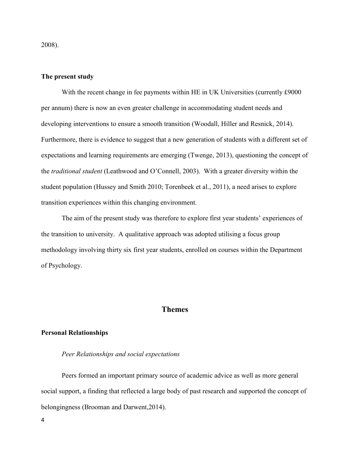2008).

#### **The present study**

With the recent change in fee payments within HE in UK Universities (currently £9000) per annum) there is now an even greater challenge in accommodating student needs and developing interventions to ensure a smooth transition (Woodall, Hiller and Resnick, 2014). Furthermore, there is evidence to suggest that a new generation of students with a different set of expectations and learning requirements are emerging (Twenge, 2013), questioning the concept of the *traditional student* (Leathwood and O'Connell, 2003). With a greater diversity within the student population (Hussey and Smith 2010; Torenbeek et al., 2011), a need arises to explore transition experiences within this changing environment.

The aim of the present study was therefore to explore first year students' experiences of the transition to university. A qualitative approach was adopted utilising a focus group methodology involving thirty six first year students, enrolled on courses within the Department of Psychology.

## **Themes**

#### **Personal Relationships**

#### *Peer Relationships and social expectations*

Peers formed an important primary source of academic advice as well as more general social support, a finding that reflected a large body of past research and supported the concept of belongingness (Brooman and Darwent,2014).

4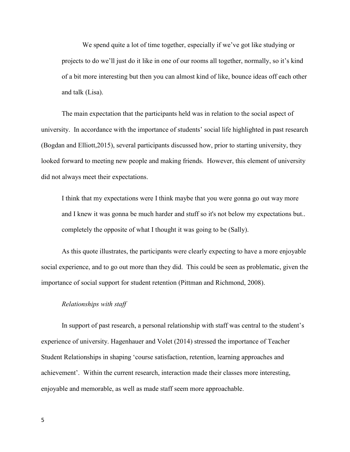We spend quite a lot of time together, especially if we've got like studying or projects to do we'll just do it like in one of our rooms all together, normally, so it's kind of a bit more interesting but then you can almost kind of like, bounce ideas off each other and talk (Lisa).

The main expectation that the participants held was in relation to the social aspect of university. In accordance with the importance of students' social life highlighted in past research (Bogdan and Elliott,2015), several participants discussed how, prior to starting university, they looked forward to meeting new people and making friends. However, this element of university did not always meet their expectations.

I think that my expectations were I think maybe that you were gonna go out way more and I knew it was gonna be much harder and stuff so it's not below my expectations but.. completely the opposite of what I thought it was going to be (Sally).

As this quote illustrates, the participants were clearly expecting to have a more enjoyable social experience, and to go out more than they did. This could be seen as problematic, given the importance of social support for student retention (Pittman and Richmond, 2008).

#### *Relationships with staff*

In support of past research, a personal relationship with staff was central to the student's experience of university. Hagenhauer and Volet (2014) stressed the importance of Teacher Student Relationships in shaping 'course satisfaction, retention, learning approaches and achievement'. Within the current research, interaction made their classes more interesting, enjoyable and memorable, as well as made staff seem more approachable.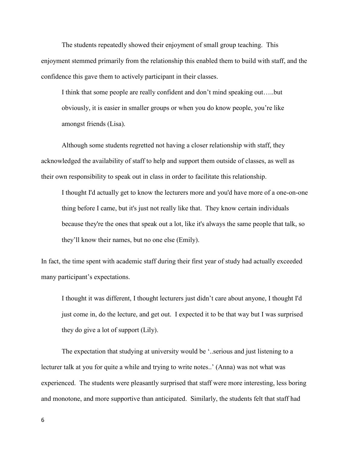The students repeatedly showed their enjoyment of small group teaching. This enjoyment stemmed primarily from the relationship this enabled them to build with staff, and the confidence this gave them to actively participant in their classes.

I think that some people are really confident and don't mind speaking out…..but obviously, it is easier in smaller groups or when you do know people, you're like amongst friends (Lisa).

Although some students regretted not having a closer relationship with staff, they acknowledged the availability of staff to help and support them outside of classes, as well as their own responsibility to speak out in class in order to facilitate this relationship.

I thought I'd actually get to know the lecturers more and you'd have more of a one-on-one thing before I came, but it's just not really like that. They know certain individuals because they're the ones that speak out a lot, like it's always the same people that talk, so they'll know their names, but no one else (Emily).

In fact, the time spent with academic staff during their first year of study had actually exceeded many participant's expectations.

I thought it was different, I thought lecturers just didn't care about anyone, I thought I'd just come in, do the lecture, and get out. I expected it to be that way but I was surprised they do give a lot of support (Lily).

The expectation that studying at university would be '..serious and just listening to a lecturer talk at you for quite a while and trying to write notes..' (Anna) was not what was experienced. The students were pleasantly surprised that staff were more interesting, less boring and monotone, and more supportive than anticipated. Similarly, the students felt that staff had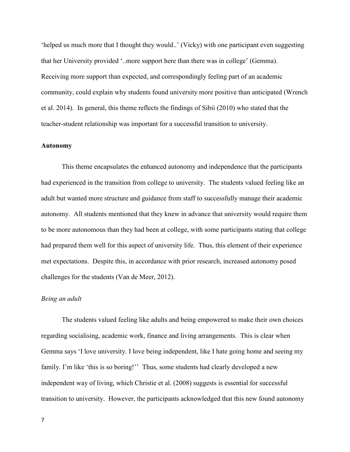'helped us much more that I thought they would..' (Vicky) with one participant even suggesting that her University provided '..more support here than there was in college' (Gemma). Receiving more support than expected, and correspondingly feeling part of an academic community, could explain why students found university more positive than anticipated (Wrench et al. 2014). In general, this theme reflects the findings of Sibii (2010) who stated that the teacher-student relationship was important for a successful transition to university.

#### **Autonomy**

This theme encapsulates the enhanced autonomy and independence that the participants had experienced in the transition from college to university. The students valued feeling like an adult but wanted more structure and guidance from staff to successfully manage their academic autonomy. All students mentioned that they knew in advance that university would require them to be more autonomous than they had been at college, with some participants stating that college had prepared them well for this aspect of university life. Thus, this element of their experience met expectations. Despite this, in accordance with prior research, increased autonomy posed challenges for the students (Van de Meer, 2012).

#### *Being an adult*

The students valued feeling like adults and being empowered to make their own choices regarding socialising, academic work, finance and living arrangements. This is clear when Gemma says 'I love university. I love being independent, like I hate going home and seeing my family. I'm like 'this is so boring!'' Thus, some students had clearly developed a new independent way of living, which Christie et al. (2008) suggests is essential for successful transition to university. However, the participants acknowledged that this new found autonomy

7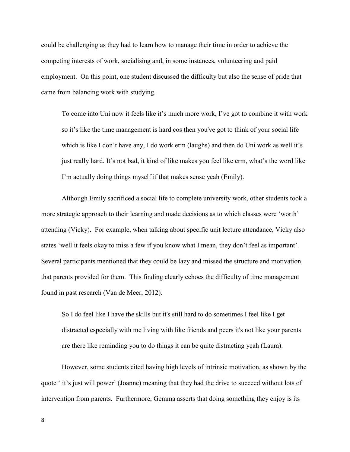could be challenging as they had to learn how to manage their time in order to achieve the competing interests of work, socialising and, in some instances, volunteering and paid employment. On this point, one student discussed the difficulty but also the sense of pride that came from balancing work with studying.

To come into Uni now it feels like it's much more work, I've got to combine it with work so it's like the time management is hard cos then you've got to think of your social life which is like I don't have any, I do work erm (laughs) and then do Uni work as well it's just really hard. It's not bad, it kind of like makes you feel like erm, what's the word like I'm actually doing things myself if that makes sense yeah (Emily).

Although Emily sacrificed a social life to complete university work, other students took a more strategic approach to their learning and made decisions as to which classes were 'worth' attending (Vicky). For example, when talking about specific unit lecture attendance, Vicky also states 'well it feels okay to miss a few if you know what I mean, they don't feel as important'. Several participants mentioned that they could be lazy and missed the structure and motivation that parents provided for them. This finding clearly echoes the difficulty of time management found in past research (Van de Meer, 2012).

So I do feel like I have the skills but it's still hard to do sometimes I feel like I get distracted especially with me living with like friends and peers it's not like your parents are there like reminding you to do things it can be quite distracting yeah (Laura).

However, some students cited having high levels of intrinsic motivation, as shown by the quote ' it's just will power' (Joanne) meaning that they had the drive to succeed without lots of intervention from parents. Furthermore, Gemma asserts that doing something they enjoy is its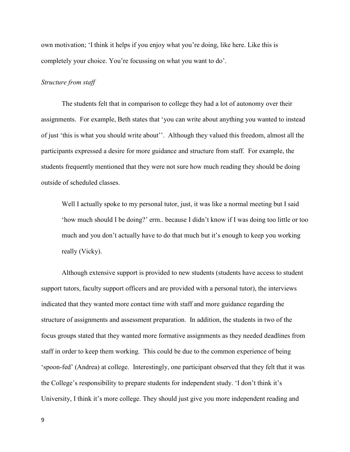own motivation; 'I think it helps if you enjoy what you're doing, like here. Like this is completely your choice. You're focussing on what you want to do'.

#### *Structure from staff*

The students felt that in comparison to college they had a lot of autonomy over their assignments. For example, Beth states that 'you can write about anything you wanted to instead of just 'this is what you should write about''. Although they valued this freedom, almost all the participants expressed a desire for more guidance and structure from staff. For example, the students frequently mentioned that they were not sure how much reading they should be doing outside of scheduled classes.

Well I actually spoke to my personal tutor, just, it was like a normal meeting but I said 'how much should I be doing?' erm.. because I didn't know if I was doing too little or too much and you don't actually have to do that much but it's enough to keep you working really (Vicky).

Although extensive support is provided to new students (students have access to student support tutors, faculty support officers and are provided with a personal tutor), the interviews indicated that they wanted more contact time with staff and more guidance regarding the structure of assignments and assessment preparation. In addition, the students in two of the focus groups stated that they wanted more formative assignments as they needed deadlines from staff in order to keep them working. This could be due to the common experience of being 'spoon-fed' (Andrea) at college. Interestingly, one participant observed that they felt that it was the College's responsibility to prepare students for independent study. 'I don't think it's University, I think it's more college. They should just give you more independent reading and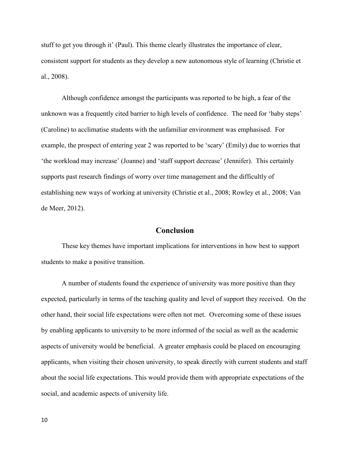stuff to get you through it' (Paul). This theme clearly illustrates the importance of clear, consistent support for students as they develop a new autonomous style of learning (Christie et al., 2008).

Although confidence amongst the participants was reported to be high, a fear of the unknown was a frequently cited barrier to high levels of confidence. The need for 'baby steps' (Caroline) to acclimatise students with the unfamiliar environment was emphasised. For example, the prospect of entering year 2 was reported to be 'scary' (Emily) due to worries that 'the workload may increase' (Joanne) and 'staff support decrease' (Jennifer). This certainly supports past research findings of worry over time management and the difficultly of establishing new ways of working at university (Christie et al., 2008; Rowley et al., 2008; Van de Meer, 2012).

# **Conclusion**

These key themes have important implications for interventions in how best to support students to make a positive transition.

A number of students found the experience of university was more positive than they expected, particularly in terms of the teaching quality and level of support they received. On the other hand, their social life expectations were often not met. Overcoming some of these issues by enabling applicants to university to be more informed of the social as well as the academic aspects of university would be beneficial. A greater emphasis could be placed on encouraging applicants, when visiting their chosen university, to speak directly with current students and staff about the social life expectations. This would provide them with appropriate expectations of the social, and academic aspects of university life.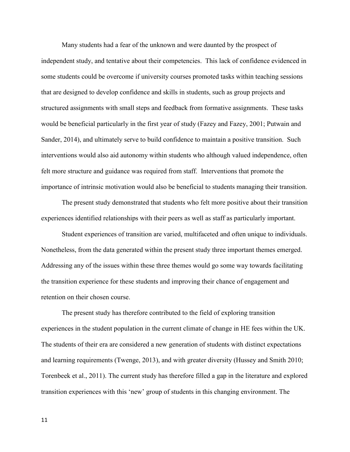Many students had a fear of the unknown and were daunted by the prospect of independent study, and tentative about their competencies. This lack of confidence evidenced in some students could be overcome if university courses promoted tasks within teaching sessions that are designed to develop confidence and skills in students, such as group projects and structured assignments with small steps and feedback from formative assignments. These tasks would be beneficial particularly in the first year of study (Fazey and Fazey, 2001; Putwain and Sander, 2014), and ultimately serve to build confidence to maintain a positive transition. Such interventions would also aid autonomy within students who although valued independence, often felt more structure and guidance was required from staff. Interventions that promote the importance of intrinsic motivation would also be beneficial to students managing their transition.

The present study demonstrated that students who felt more positive about their transition experiences identified relationships with their peers as well as staff as particularly important.

Student experiences of transition are varied, multifaceted and often unique to individuals. Nonetheless, from the data generated within the present study three important themes emerged. Addressing any of the issues within these three themes would go some way towards facilitating the transition experience for these students and improving their chance of engagement and retention on their chosen course.

The present study has therefore contributed to the field of exploring transition experiences in the student population in the current climate of change in HE fees within the UK. The students of their era are considered a new generation of students with distinct expectations and learning requirements (Twenge, 2013), and with greater diversity (Hussey and Smith 2010; Torenbeek et al., 2011). The current study has therefore filled a gap in the literature and explored transition experiences with this 'new' group of students in this changing environment. The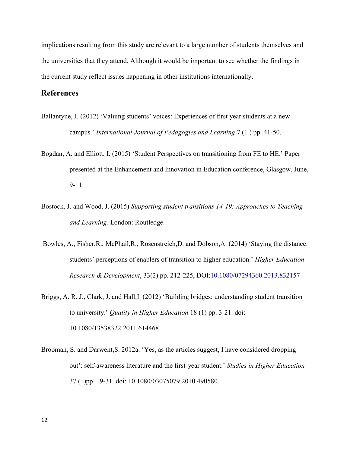implications resulting from this study are relevant to a large number of students themselves and the universities that they attend. Although it would be important to see whether the findings in the current study reflect issues happening in other institutions internationally.

## **References**

- Ballantyne, J. (2012) 'Valuing students' voices: Experiences of first year students at a new campus.' *International Journal of Pedagogies and Learning* 7 (1 ) pp. 41-50.
- Bogdan, A. and Elliott, I. (2015) 'Student Perspectives on transitioning from FE to HE.' Paper presented at the Enhancement and Innovation in Education conference, Glasgow, June, 9-11.
- Bostock, J. and Wood, J. (2015) *Supporting student transitions 14-19: Approaches to Teaching and Learning.* London: Routledge.
- Bowles, A., Fisher,R., McPhail,R., Rosenstreich,D. and Dobson,A. (2014) 'Staying the distance: students' perceptions of enablers of transition to higher education.' *Higher Education Research & Development*, 33(2) pp. 212-225, DOI:10.1080/07294360.2013.832157
- Briggs, A. R. J., Clark, J. and Hall, I. (2012) 'Building bridges: understanding student transition to university.' *Quality in Higher Education* 18 (1) pp. 3-21. doi: 10.1080/13538322.2011.614468.
- Brooman, S. and Darwent,S. 2012a. 'Yes, as the articles suggest, I have considered dropping out': self-awareness literature and the first-year student.' *Studies in Higher Education*  37 (1)pp. 19-31. doi: 10.1080/03075079.2010.490580.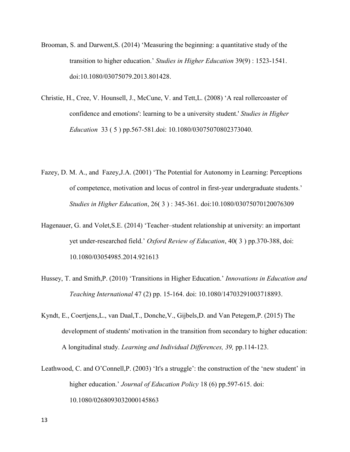- Brooman, S. and Darwent,S. (2014) 'Measuring the beginning: a quantitative study of the transition to higher education.' *Studies in Higher Education* 39(9) : 1523-1541. doi:10.1080/03075079.2013.801428.
- Christie, H., Cree, V. Hounsell, J., McCune, V. and Tett,L. (2008) 'A real rollercoaster of confidence and emotions': learning to be a university student.' *Studies in Higher Education* 33 ( 5 ) pp.567-581.doi: 10.1080/03075070802373040.
- Fazey, D. M. A., and Fazey,J.A. (2001) 'The Potential for Autonomy in Learning: Perceptions of competence, motivation and locus of control in first-year undergraduate students.' *Studies in Higher Education*, 26( 3 ) : 345-361. doi:10.1080/03075070120076309
- Hagenauer, G. and Volet,S.E. (2014) 'Teacher–student relationship at university: an important yet under-researched field.' *Oxford Review of Education*, 40( 3 ) pp.370-388, doi: 10.1080/03054985.2014.921613
- Hussey, T. and Smith,P. (2010) 'Transitions in Higher Education.' *Innovations in Education and Teaching International* 47 (2) pp. 15-164. doi: 10.1080/14703291003718893.
- Kyndt, E., Coertjens,L., van Daal,T., Donche,V., Gijbels,D. and Van Petegem,P. (2015) The development of students' motivation in the transition from secondary to higher education: A longitudinal study. *Learning and Individual Differences, 39,* pp.114-123.
- Leathwood, C. and O'Connell,P. (2003) 'It's a struggle': the construction of the 'new student' in higher education.' *Journal of Education Policy* 18 (6) pp.597-615. doi: 10.1080/0268093032000145863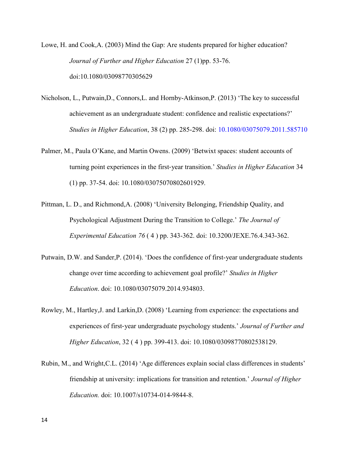Lowe, H. and Cook,A. (2003) Mind the Gap: Are students prepared for higher education? *Journal of Further and Higher Education* 27 (1)pp. 53-76. doi:10.1080/03098770305629

- Nicholson, L., Putwain,D., Connors,L. and Hornby-Atkinson,P. (2013) 'The key to successful achievement as an undergraduate student: confidence and realistic expectations?' *Studies in Higher Education*, 38 (2) pp. 285-298. doi: 10.1080/03075079.2011.585710
- Palmer, M., Paula O'Kane, and Martin Owens. (2009) 'Betwixt spaces: student accounts of turning point experiences in the first‐year transition.' *Studies in Higher Education* 34 (1) pp. 37-54. doi: 10.1080/03075070802601929.
- Pittman, L. D., and Richmond,A. (2008) 'University Belonging, Friendship Quality, and Psychological Adjustment During the Transition to College.' *The Journal of Experimental Education 76* ( 4 ) pp. 343-362. doi: 10.3200/JEXE.76.4.343-362.
- Putwain, D.W. and Sander,P. (2014). 'Does the confidence of first-year undergraduate students change over time according to achievement goal profile?' *Studies in Higher Education*. doi: 10.1080/03075079.2014.934803.
- Rowley, M., Hartley,J. and Larkin,D. (2008) 'Learning from experience: the expectations and experiences of first‐year undergraduate psychology students.' *Journal of Further and Higher Education*, 32 ( 4 ) pp. 399-413. doi: 10.1080/03098770802538129.
- Rubin, M., and Wright,C.L. (2014) 'Age differences explain social class differences in students' friendship at university: implications for transition and retention.' *Journal of Higher Education.* doi: 10.1007/s10734-014-9844-8.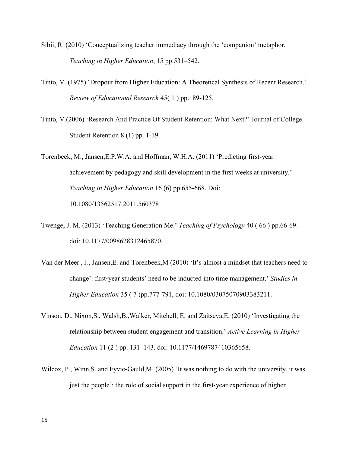- Sibii, R. (2010) 'Conceptualizing teacher immediacy through the 'companion' metaphor. *Teaching in Higher Education*, 15 pp.531–542.
- Tinto, V. (1975) 'Dropout from Higher Education: A Theoretical Synthesis of Recent Research.' *Review of Educational Research* 45( 1 ) pp. 89-125.
- Tinto, V.(2006) 'Research And Practice Of Student Retention: What Next?' Journal of College Student Retention 8 (1) pp. 1-19.

Torenbeek, M., Jansen,E.P.W.A. and Hoffman, W.H.A. (2011) 'Predicting first-year achievement by pedagogy and skill development in the first weeks at university.' *Teaching in Higher Education* 16 (6) pp.655-668. Doi: 10.1080/13562517.2011.560378

- Twenge, J. M. (2013) 'Teaching Generation Me.' *Teaching of Psychology* 40 ( 66 ) pp.66-69. doi: 10.1177/0098628312465870.
- Van der Meer , J., Jansen,E. and Torenbeek,M (2010) 'It's almost a mindset that teachers need to change': first‐year students' need to be inducted into time management.' *Studies in Higher Education* 35 ( 7 )pp.777-791, doi: 10.1080/03075070903383211.
- Vinson, D., Nixon,S., Walsh,B.,Walker, Mitchell, E. and Zaitseva,E. (2010) 'Investigating the relationship between student engagement and transition.' *Active Learning in Higher Education* 11 (2 ) pp. 131–143. doi: 10.1177/1469787410365658.
- Wilcox, P., Winn, S. and Fyvie-Gauld, M. (2005) 'It was nothing to do with the university, it was just the people': the role of social support in the first‐year experience of higher